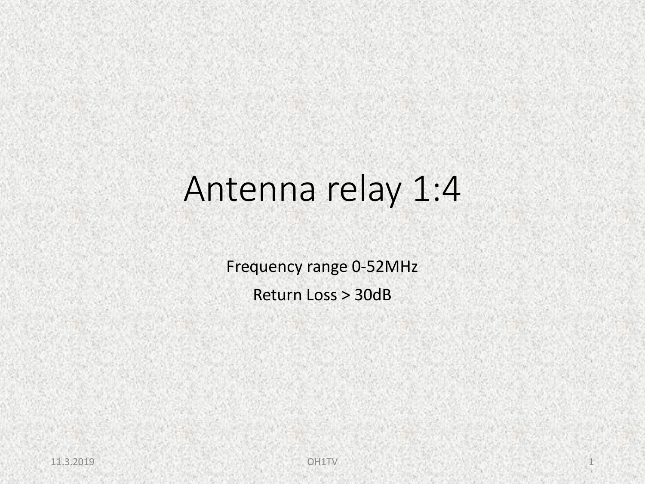# Antenna relay 1:4

Frequency range 0-52MHz Return Loss > 30dB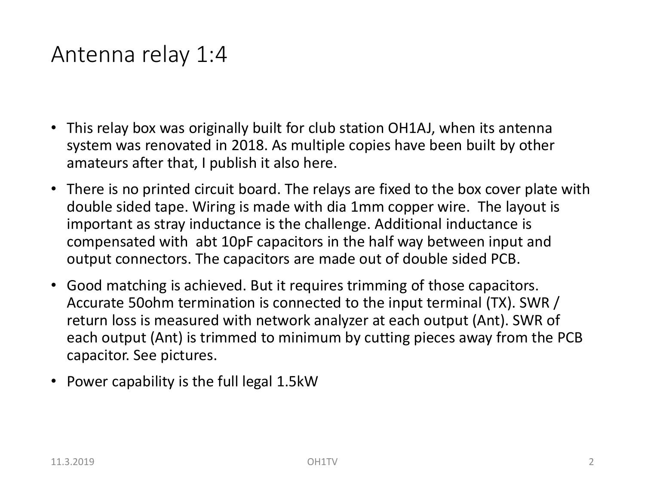## Antenna relay 1:4

- This relay box was originally built for club station OH1AJ, when its antenna system was renovated in 2018. As multiple copies have been built by other amateurs after that, I publish it also here.
- There is no printed circuit board. The relays are fixed to the box cover plate with double sided tape. Wiring is made with dia 1mm copper wire. The layout is important as stray inductance is the challenge. Additional inductance is compensated with abt 10pF capacitors in the half way between input and output connectors. The capacitors are made out of double sided PCB.
- Good matching is achieved. But it requires trimming of those capacitors. Accurate 50ohm termination is connected to the input terminal (TX). SWR / return loss is measured with network analyzer at each output (Ant). SWR of each output (Ant) is trimmed to minimum by cutting pieces away from the PCB capacitor. See pictures.
- Power capability is the full legal 1.5kW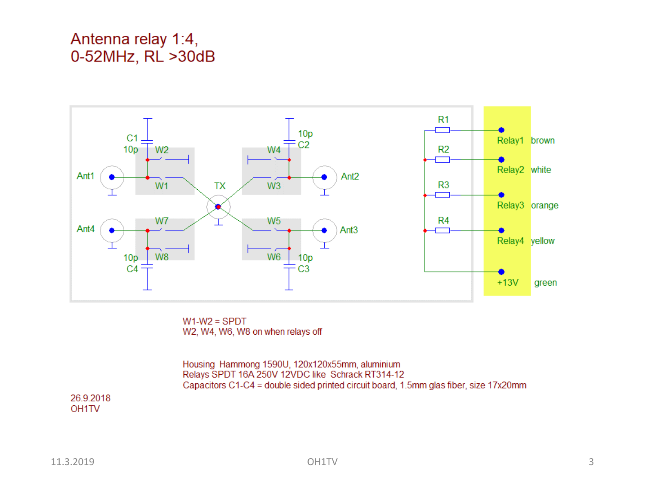### Antenna relay 1:4, 0-52MHz, RL >30dB



 $W1-W2 = SPDT$ W2, W4, W6, W8 on when relays off

Housing Hammong 1590U, 120x120x55mm, aluminium Relays SPDT 16A 250V 12VDC like Schrack RT314-12 Capacitors C1-C4 = double sided printed circuit board, 1.5mm glas fiber, size 17x20mm

26.9.2018 OH<sub>1</sub>TV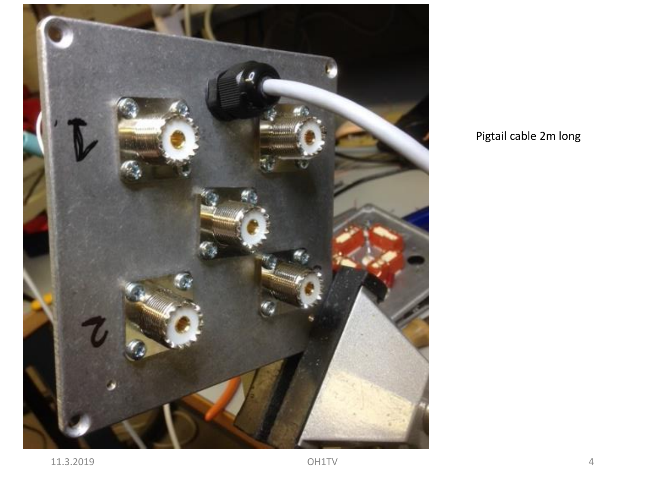

#### Pigtail cable 2m long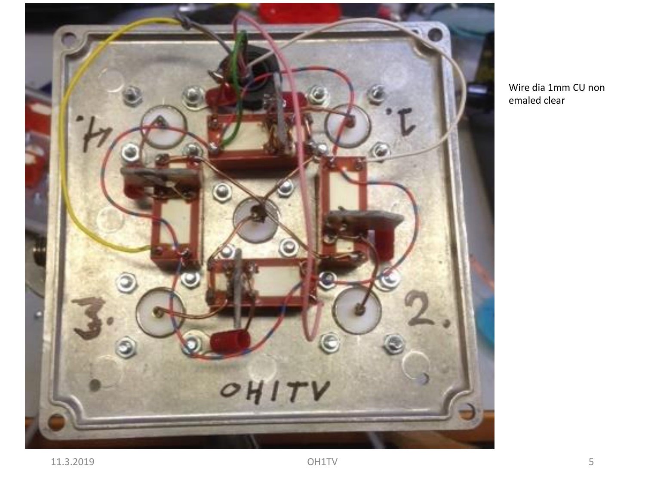

Wire dia 1mm CU non emaled clear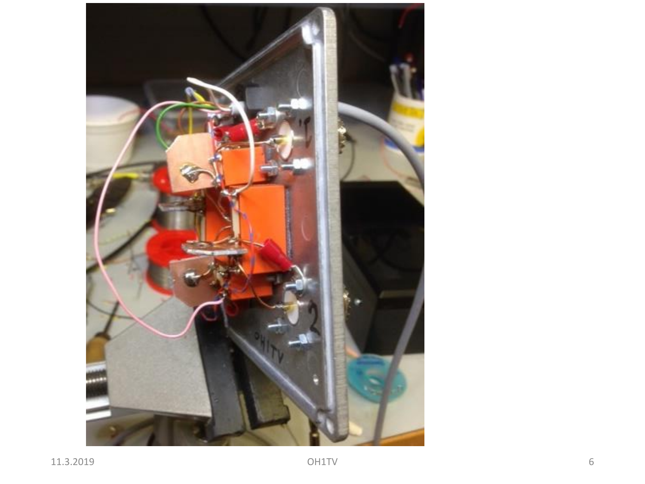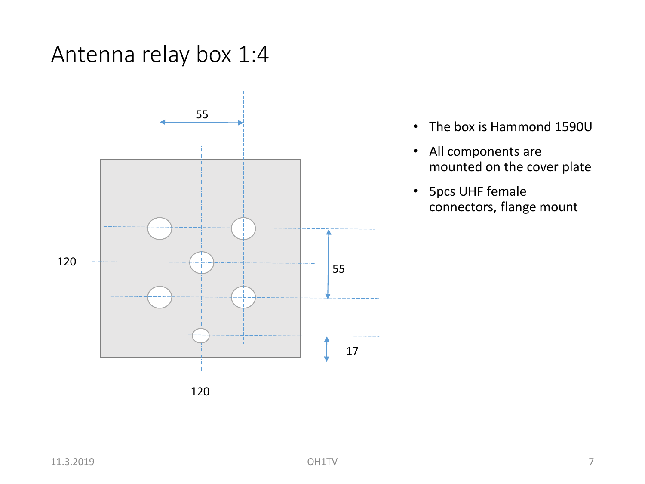## Antenna relay box 1:4



- The box is Hammond 1590U
- All components are mounted on the cover plate
- 5pcs UHF female connectors, flange mount